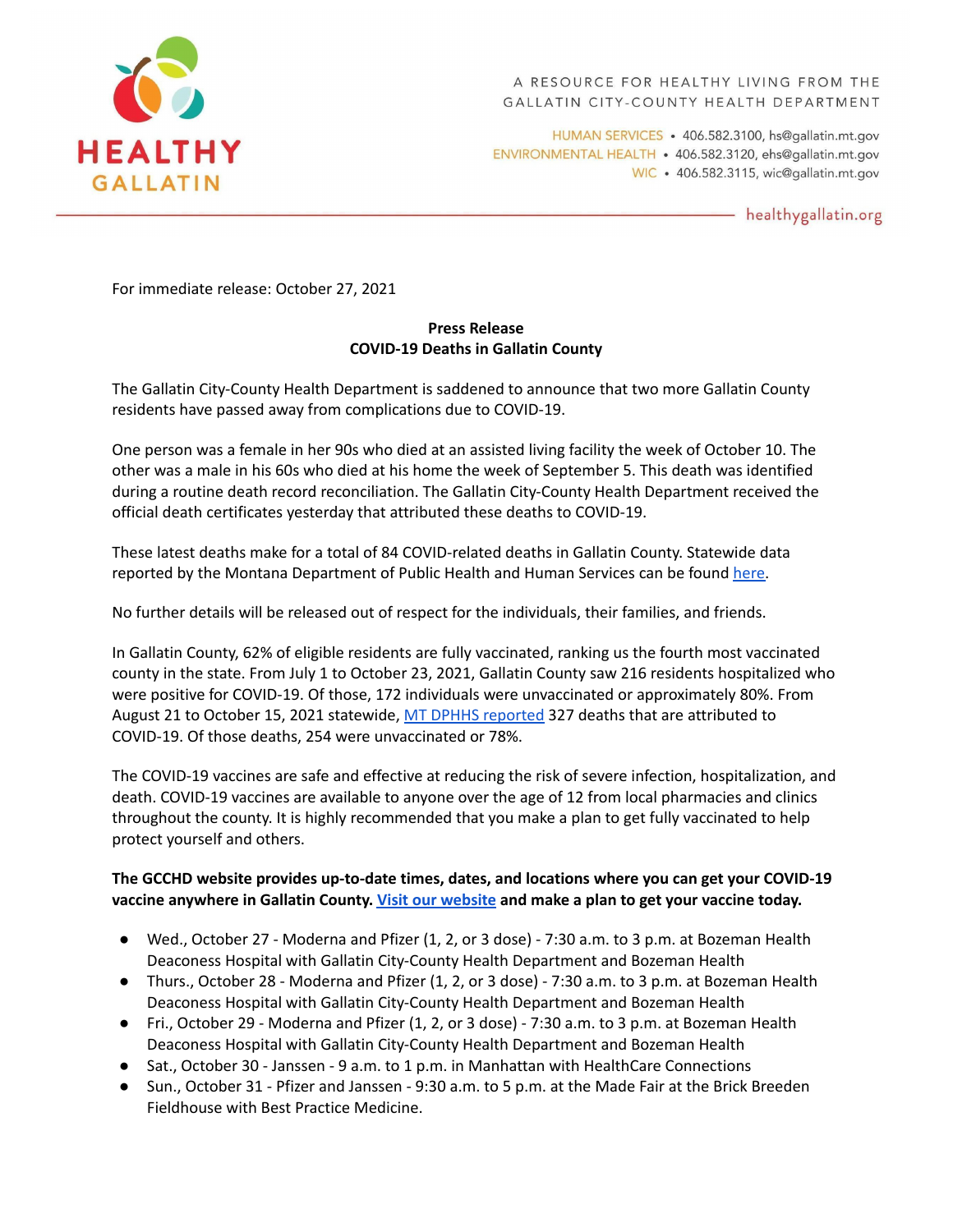

HUMAN SERVICES · 406.582.3100, hs@gallatin.mt.gov ENVIRONMENTAL HEALTH · 406.582.3120, ehs@gallatin.mt.gov WIC · 406.582.3115, wic@gallatin.mt.gov

- healthygallatin.org

For immediate release: October 27, 2021

## **Press Release COVID-19 Deaths in Gallatin County**

The Gallatin City-County Health Department is saddened to announce that two more Gallatin County residents have passed away from complications due to COVID-19.

One person was a female in her 90s who died at an assisted living facility the week of October 10. The other was a male in his 60s who died at his home the week of September 5. This death was identified during a routine death record reconciliation. The Gallatin City-County Health Department received the official death certificates yesterday that attributed these deaths to COVID-19.

These latest deaths make for a total of 84 COVID-related deaths in Gallatin County. Statewide data reported by the Montana Department of Public Health and Human Services can be found [here.](https://montana.maps.arcgis.com/apps/MapSeries/index.html?appid=7c34f3412536439491adcc2103421d4b)

No further details will be released out of respect for the individuals, their families, and friends.

In Gallatin County, 62% of eligible residents are fully vaccinated, ranking us the fourth most vaccinated county in the state. From July 1 to October 23, 2021, Gallatin County saw 216 residents hospitalized who were positive for COVID-19. Of those, 172 individuals were unvaccinated or approximately 80%. From August 21 to October 15, 2021 statewide, MT DPHHS [reported](https://dphhs.mt.gov/assets/publichealth/CDEpi/DiseasesAtoZ/2019-nCoV/EpiProfile/EpiUpdate_Weekly10152021.pdf) 327 deaths that are attributed to COVID-19. Of those deaths, 254 were unvaccinated or 78%.

The COVID-19 vaccines are safe and effective at reducing the risk of severe infection, hospitalization, and death. COVID-19 vaccines are available to anyone over the age of 12 from local pharmacies and clinics throughout the county. It is highly recommended that you make a plan to get fully vaccinated to help protect yourself and others.

## **The GCCHD website provides up-to-date times, dates, and locations where you can get your COVID-19 vaccine anywhere in Gallatin County. Visit our [website](https://www.healthygallatin.org/covid-19-vaccines/) and make a plan to get your vaccine today.**

- Wed., October 27 Moderna and Pfizer (1, 2, or 3 dose) 7:30 a.m. to 3 p.m. at Bozeman Health Deaconess Hospital with Gallatin City-County Health Department and Bozeman Health
- Thurs., October 28 Moderna and Pfizer (1, 2, or 3 dose) 7:30 a.m. to 3 p.m. at Bozeman Health Deaconess Hospital with Gallatin City-County Health Department and Bozeman Health
- Fri., October 29 Moderna and Pfizer (1, 2, or 3 dose) 7:30 a.m. to 3 p.m. at Bozeman Health Deaconess Hospital with Gallatin City-County Health Department and Bozeman Health
- Sat., October 30 Janssen 9 a.m. to 1 p.m. in Manhattan with HealthCare Connections
- Sun., October 31 Pfizer and Janssen 9:30 a.m. to 5 p.m. at the Made Fair at the Brick Breeden Fieldhouse with Best Practice Medicine.